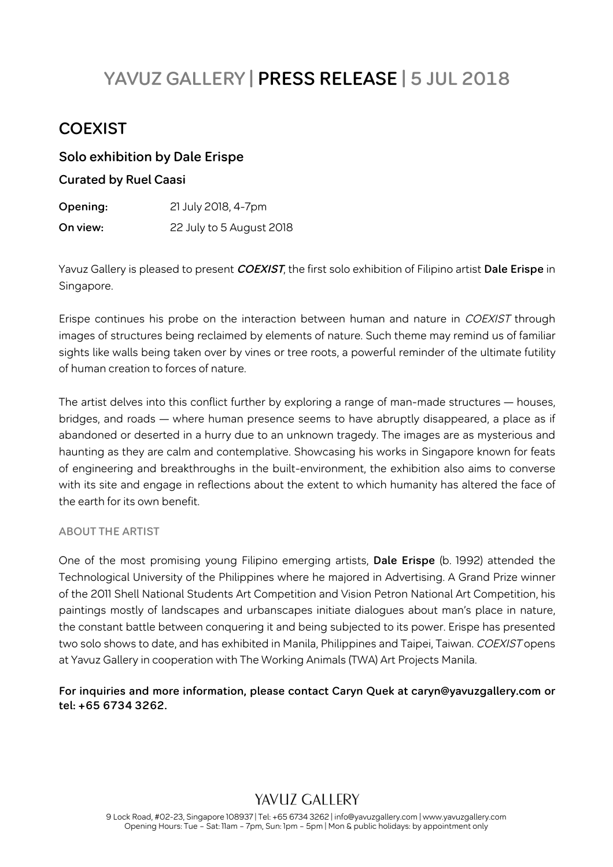# **YAVUZ GALLERY | PRESS RELEASE | 5 JUL 2018**

# **COEXIST**

### **Solo exhibition by Dale Erispe**

#### **Curated by Ruel Caasi**

| Opening: | 21 July 2018, 4-7pm      |
|----------|--------------------------|
| On view: | 22 July to 5 August 2018 |

Yavuz Gallery is pleased to present **COEXIST**, the first solo exhibition of Filipino artist **Dale Erispe** in Singapore.

Erispe continues his probe on the interaction between human and nature in COEXIST through images of structures being reclaimed by elements of nature. Such theme may remind us of familiar sights like walls being taken over by vines or tree roots, a powerful reminder of the ultimate futility of human creation to forces of nature.

The artist delves into this conflict further by exploring a range of man-made structures — houses, bridges, and roads — where human presence seems to have abruptly disappeared, a place as if abandoned or deserted in a hurry due to an unknown tragedy. The images are as mysterious and haunting as they are calm and contemplative. Showcasing his works in Singapore known for feats of engineering and breakthroughs in the built-environment, the exhibition also aims to converse with its site and engage in reflections about the extent to which humanity has altered the face of the earth for its own benefit.

#### **ABOUT THE ARTIST**

One of the most promising young Filipino emerging artists, **Dale Erispe** (b. 1992) attended the Technological University of the Philippines where he majored in Advertising. A Grand Prize winner of the 2011 Shell National Students Art Competition and Vision Petron National Art Competition, his paintings mostly of landscapes and urbanscapes initiate dialogues about man's place in nature, the constant battle between conquering it and being subjected to its power. Erispe has presented two solo shows to date, and has exhibited in Manila, Philippines and Taipei, Taiwan. COEXIST opens at Yavuz Gallery in cooperation with The Working Animals (TWA) Art Projects Manila.

#### **For inquiries and more information, please contact Caryn Quek at caryn@yavuzgallery.com or tel: +65 6734 3262.**

# YAVIIZ GALLERY

9 Lock Road, #02-23, Singapore 108937 | Tel: +65 6734 3262 | info@yavuzgallery.com | www.yavuzgallery.com Opening Hours: Tue – Sat: 11am – 7pm, Sun: 1pm – 5pm | Mon & public holidays: by appointment only